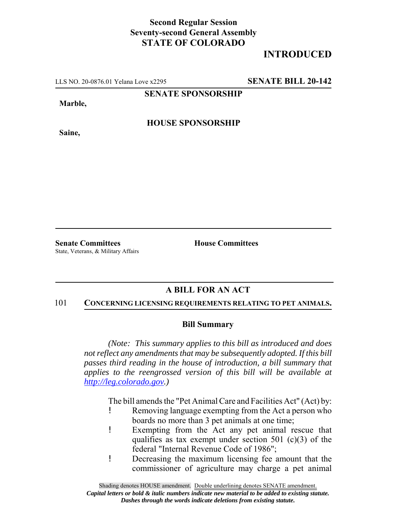## **Second Regular Session Seventy-second General Assembly STATE OF COLORADO**

# **INTRODUCED**

LLS NO. 20-0876.01 Yelana Love x2295 **SENATE BILL 20-142**

**SENATE SPONSORSHIP**

**Marble,**

**Saine,**

**HOUSE SPONSORSHIP**

State, Veterans, & Military Affairs

**Senate Committees House Committees** 

### **A BILL FOR AN ACT**

#### 101 **CONCERNING LICENSING REQUIREMENTS RELATING TO PET ANIMALS.**

#### **Bill Summary**

*(Note: This summary applies to this bill as introduced and does not reflect any amendments that may be subsequently adopted. If this bill passes third reading in the house of introduction, a bill summary that applies to the reengrossed version of this bill will be available at http://leg.colorado.gov.)*

The bill amends the "Pet Animal Care and Facilities Act" (Act) by:

- ! Removing language exempting from the Act a person who boards no more than 3 pet animals at one time;
- ! Exempting from the Act any pet animal rescue that qualifies as tax exempt under section 501 (c)(3) of the federal "Internal Revenue Code of 1986";
- ! Decreasing the maximum licensing fee amount that the commissioner of agriculture may charge a pet animal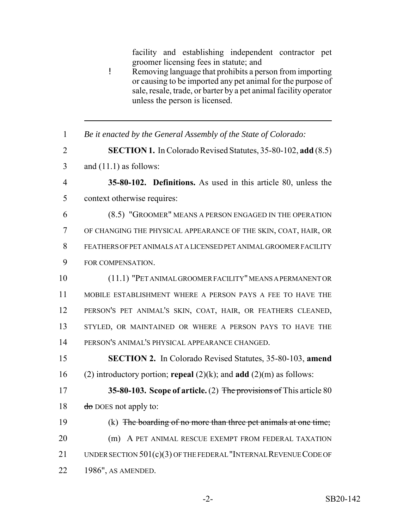facility and establishing independent contractor pet groomer licensing fees in statute; and

- ! Removing language that prohibits a person from importing or causing to be imported any pet animal for the purpose of sale, resale, trade, or barter by a pet animal facility operator unless the person is licensed.
- 1 *Be it enacted by the General Assembly of the State of Colorado:*
- 2 **SECTION 1.** In Colorado Revised Statutes, 35-80-102, **add** (8.5)
- 3 and  $(11.1)$  as follows:
- 4 **35-80-102. Definitions.** As used in this article 80, unless the 5 context otherwise requires:
- 6 (8.5) "GROOMER" MEANS A PERSON ENGAGED IN THE OPERATION 7 OF CHANGING THE PHYSICAL APPEARANCE OF THE SKIN, COAT, HAIR, OR 8 FEATHERS OF PET ANIMALS AT A LICENSED PET ANIMAL GROOMER FACILITY 9 FOR COMPENSATION.
- 10 (11.1) "PET ANIMAL GROOMER FACILITY" MEANS A PERMANENT OR 11 MOBILE ESTABLISHMENT WHERE A PERSON PAYS A FEE TO HAVE THE 12 PERSON'S PET ANIMAL'S SKIN, COAT, HAIR, OR FEATHERS CLEANED, 13 STYLED, OR MAINTAINED OR WHERE A PERSON PAYS TO HAVE THE 14 PERSON'S ANIMAL'S PHYSICAL APPEARANCE CHANGED.
- 15 **SECTION 2.** In Colorado Revised Statutes, 35-80-103, **amend** 16 (2) introductory portion; **repeal** (2)(k); and **add** (2)(m) as follows:
- 17 **35-80-103. Scope of article.** (2) The provisions of This article 80 18  $\frac{d\theta}{d\theta}$  DOES not apply to:
- 19 (k) The boarding of no more than three pet animals at one time; 20 (m) A PET ANIMAL RESCUE EXEMPT FROM FEDERAL TAXATION 21 UNDER SECTION 501(c)(3) OF THE FEDERAL "INTERNAL REVENUE CODE OF 22 1986", AS AMENDED.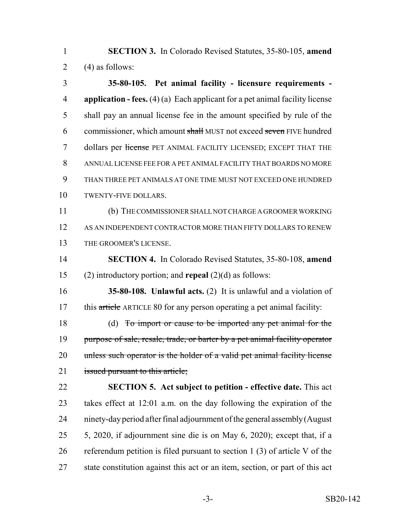**SECTION 3.** In Colorado Revised Statutes, 35-80-105, **amend** 2 (4) as follows:

 **35-80-105. Pet animal facility - licensure requirements - application - fees.** (4) (a) Each applicant for a pet animal facility license shall pay an annual license fee in the amount specified by rule of the 6 commissioner, which amount shall MUST not exceed seven FIVE hundred 7 dollars per license PET ANIMAL FACILITY LICENSED; EXCEPT THAT THE ANNUAL LICENSE FEE FOR A PET ANIMAL FACILITY THAT BOARDS NO MORE THAN THREE PET ANIMALS AT ONE TIME MUST NOT EXCEED ONE HUNDRED TWENTY-FIVE DOLLARS. (b) THE COMMISSIONER SHALL NOT CHARGE A GROOMER WORKING AS AN INDEPENDENT CONTRACTOR MORE THAN FIFTY DOLLARS TO RENEW THE GROOMER'S LICENSE. **SECTION 4.** In Colorado Revised Statutes, 35-80-108, **amend** (2) introductory portion; and **repeal** (2)(d) as follows: **35-80-108. Unlawful acts.** (2) It is unlawful and a violation of 17 this article ARTICLE 80 for any person operating a pet animal facility: 18 (d) To import or cause to be imported any pet animal for the 19 purpose of sale, resale, trade, or barter by a pet animal facility operator 20 unless such operator is the holder of a valid pet animal facility license 21 issued pursuant to this article; **SECTION 5. Act subject to petition - effective date.** This act takes effect at 12:01 a.m. on the day following the expiration of the ninety-day period after final adjournment of the general assembly (August 5, 2020, if adjournment sine die is on May 6, 2020); except that, if a referendum petition is filed pursuant to section 1 (3) of article V of the state constitution against this act or an item, section, or part of this act